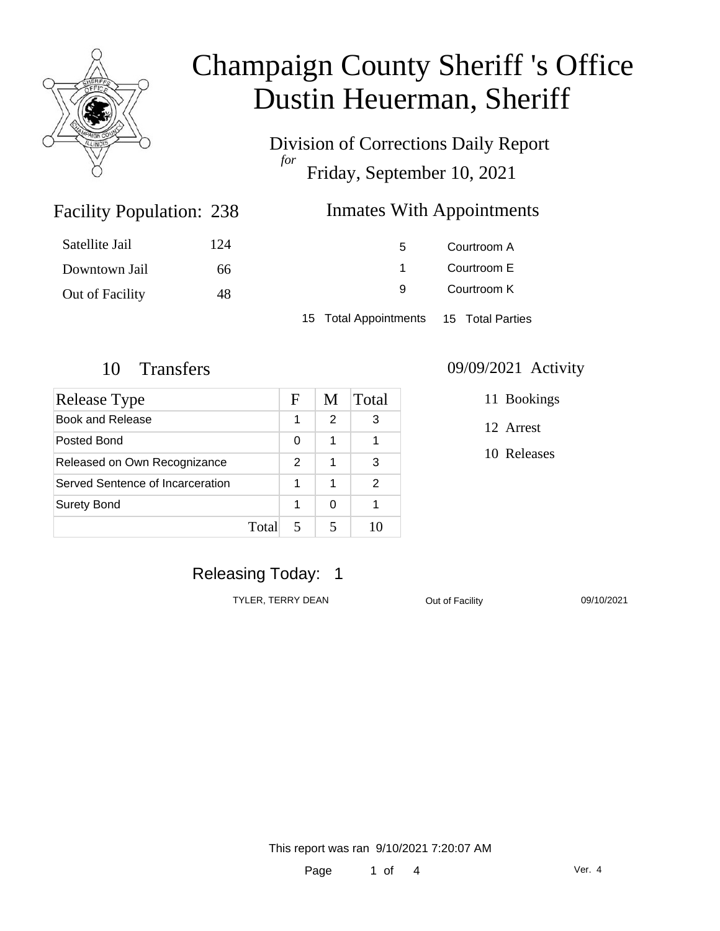

Division of Corrections Daily Report *for* Friday, September 10, 2021

### Inmates With Appointments

| Satellite Jail  | 124 | 5                                      | Courtroom A |  |
|-----------------|-----|----------------------------------------|-------------|--|
| Downtown Jail   | 66  |                                        | Courtroom E |  |
| Out of Facility | 48  | 9                                      | Courtroom K |  |
|                 |     | 15 Total Appointments 15 Total Parties |             |  |

Facility Population: 238

| Release Type                     |       | F             | M | Total |
|----------------------------------|-------|---------------|---|-------|
| Book and Release                 |       | 1             | 2 | 3     |
| Posted Bond                      |       | 0             | 1 |       |
| Released on Own Recognizance     |       | $\mathcal{P}$ | 1 | 3     |
| Served Sentence of Incarceration |       | 1             | 1 | 2     |
| <b>Surety Bond</b>               |       | 1             | ∩ |       |
|                                  | Total |               |   |       |

### 10 Transfers 09/09/2021 Activity

11 Bookings

12 Arrest

10 Releases

### Releasing Today: 1

TYLER, TERRY DEAN **Out of Facility** 09/10/2021

This report was ran 9/10/2021 7:20:07 AM

Page 1 of 4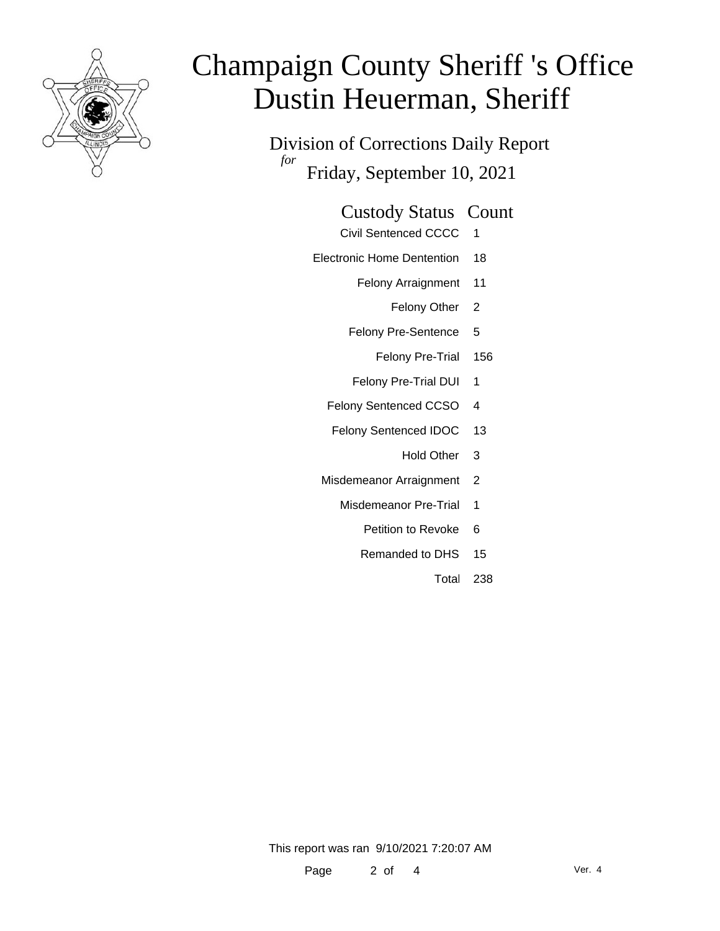

Division of Corrections Daily Report *for* Friday, September 10, 2021

# Custody Status Count

- Civil Sentenced CCCC 1
- Electronic Home Dentention 18
	- Felony Arraignment 11
		- Felony Other 2
	- Felony Pre-Sentence 5
		- Felony Pre-Trial 156
	- Felony Pre-Trial DUI 1
	- Felony Sentenced CCSO 4
	- Felony Sentenced IDOC 13
		- Hold Other 3
	- Misdemeanor Arraignment 2
		- Misdemeanor Pre-Trial 1
			- Petition to Revoke 6
			- Remanded to DHS 15
				- Total 238

This report was ran 9/10/2021 7:20:07 AM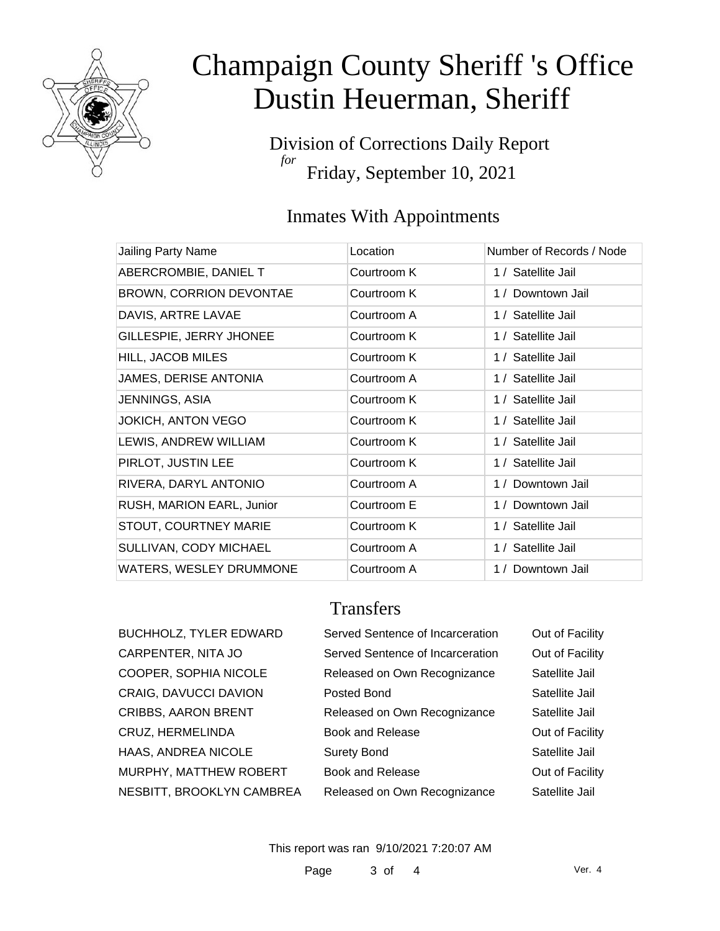

Division of Corrections Daily Report *for* Friday, September 10, 2021

## Inmates With Appointments

| Jailing Party Name        | Location    | Number of Records / Node |
|---------------------------|-------------|--------------------------|
| ABERCROMBIE, DANIEL T     | Courtroom K | 1 / Satellite Jail       |
| BROWN, CORRION DEVONTAE   | Courtroom K | 1 / Downtown Jail        |
| DAVIS, ARTRE LAVAE        | Courtroom A | 1 / Satellite Jail       |
| GILLESPIE, JERRY JHONEE   | Courtroom K | 1 / Satellite Jail       |
| HILL, JACOB MILES         | Courtroom K | 1 / Satellite Jail       |
| JAMES, DERISE ANTONIA     | Courtroom A | 1 / Satellite Jail       |
| JENNINGS, ASIA            | Courtroom K | 1 / Satellite Jail       |
| <b>JOKICH, ANTON VEGO</b> | Courtroom K | 1 / Satellite Jail       |
| LEWIS, ANDREW WILLIAM     | Courtroom K | 1 / Satellite Jail       |
| PIRLOT, JUSTIN LEE        | Courtroom K | 1 / Satellite Jail       |
| RIVERA, DARYL ANTONIO     | Courtroom A | 1 / Downtown Jail        |
| RUSH, MARION EARL, Junior | Courtroom E | 1 / Downtown Jail        |
| STOUT, COURTNEY MARIE     | Courtroom K | 1 / Satellite Jail       |
| SULLIVAN, CODY MICHAEL    | Courtroom A | 1 / Satellite Jail       |
| WATERS, WESLEY DRUMMONE   | Courtroom A | Downtown Jail<br>1/      |

### **Transfers**

| <b>BUCHHOLZ, TYLER EDWARD</b> | Served Sentence of Incarceration | Out of Facility |
|-------------------------------|----------------------------------|-----------------|
| CARPENTER, NITA JO            | Served Sentence of Incarceration | Out of Facility |
| COOPER, SOPHIA NICOLE         | Released on Own Recognizance     | Satellite Jail  |
| CRAIG, DAVUCCI DAVION         | Posted Bond                      | Satellite Jail  |
| <b>CRIBBS, AARON BRENT</b>    | Released on Own Recognizance     | Satellite Jail  |
| CRUZ, HERMELINDA              | <b>Book and Release</b>          | Out of Facility |
| HAAS, ANDREA NICOLE           | <b>Surety Bond</b>               | Satellite Jail  |
| MURPHY, MATTHEW ROBERT        | <b>Book and Release</b>          | Out of Facility |
| NESBITT, BROOKLYN CAMBREA     | Released on Own Recognizance     | Satellite Jail  |
|                               |                                  |                 |

This report was ran 9/10/2021 7:20:07 AM